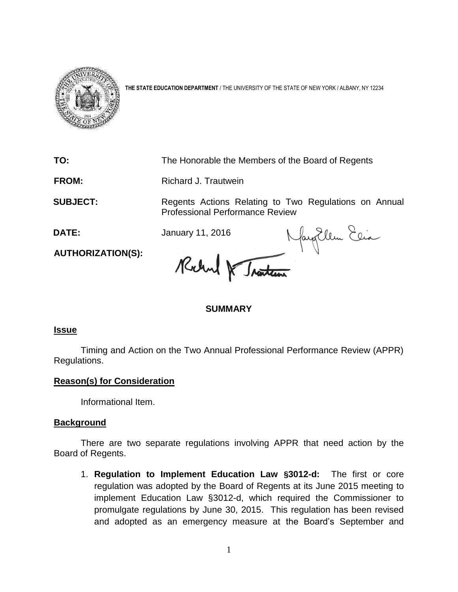

**THE STATE EDUCATION DEPARTMENT** / THE UNIVERSITY OF THE STATE OF NEW YORK / ALBANY, NY 12234

**TO:** The Honorable the Members of the Board of Regents **FROM:** Richard J. Trautwein **SUBJECT:** Regents Actions Relating to Two Regulations on Annual Professional Performance Review<br>January 11, 2016 Margillen Elia **DATE:** January 11, 2016 **AUTHORIZATION(S):**

## **SUMMARY**

## **Issue**

Timing and Action on the Two Annual Professional Performance Review (APPR) Regulations.

## **Reason(s) for Consideration**

Informational Item.

## **Background**

There are two separate regulations involving APPR that need action by the Board of Regents.

1. **Regulation to Implement Education Law §3012-d:** The first or core regulation was adopted by the Board of Regents at its June 2015 meeting to implement Education Law §3012-d, which required the Commissioner to promulgate regulations by June 30, 2015. This regulation has been revised and adopted as an emergency measure at the Board's September and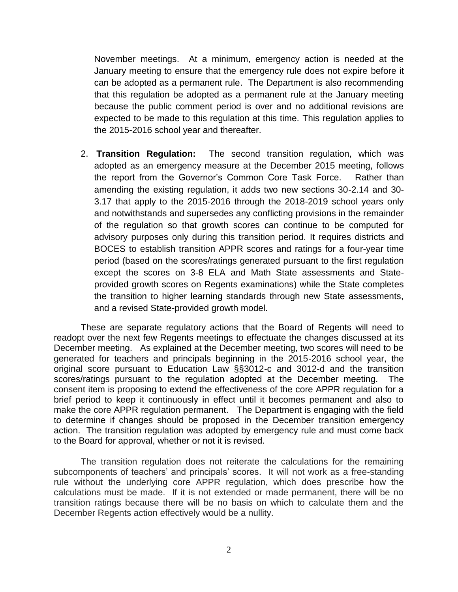November meetings. At a minimum, emergency action is needed at the January meeting to ensure that the emergency rule does not expire before it can be adopted as a permanent rule. The Department is also recommending that this regulation be adopted as a permanent rule at the January meeting because the public comment period is over and no additional revisions are expected to be made to this regulation at this time. This regulation applies to the 2015-2016 school year and thereafter.

2. **Transition Regulation:** The second transition regulation, which was adopted as an emergency measure at the December 2015 meeting, follows the report from the Governor's Common Core Task Force. Rather than amending the existing regulation, it adds two new sections 30-2.14 and 30- 3.17 that apply to the 2015-2016 through the 2018-2019 school years only and notwithstands and supersedes any conflicting provisions in the remainder of the regulation so that growth scores can continue to be computed for advisory purposes only during this transition period. It requires districts and BOCES to establish transition APPR scores and ratings for a four-year time period (based on the scores/ratings generated pursuant to the first regulation except the scores on 3-8 ELA and Math State assessments and Stateprovided growth scores on Regents examinations) while the State completes the transition to higher learning standards through new State assessments, and a revised State-provided growth model.

These are separate regulatory actions that the Board of Regents will need to readopt over the next few Regents meetings to effectuate the changes discussed at its December meeting. As explained at the December meeting, two scores will need to be generated for teachers and principals beginning in the 2015-2016 school year, the original score pursuant to Education Law §§3012-c and 3012-d and the transition scores/ratings pursuant to the regulation adopted at the December meeting. The consent item is proposing to extend the effectiveness of the core APPR regulation for a brief period to keep it continuously in effect until it becomes permanent and also to make the core APPR regulation permanent. The Department is engaging with the field to determine if changes should be proposed in the December transition emergency action. The transition regulation was adopted by emergency rule and must come back to the Board for approval, whether or not it is revised.

The transition regulation does not reiterate the calculations for the remaining subcomponents of teachers' and principals' scores. It will not work as a free-standing rule without the underlying core APPR regulation, which does prescribe how the calculations must be made. If it is not extended or made permanent, there will be no transition ratings because there will be no basis on which to calculate them and the December Regents action effectively would be a nullity.